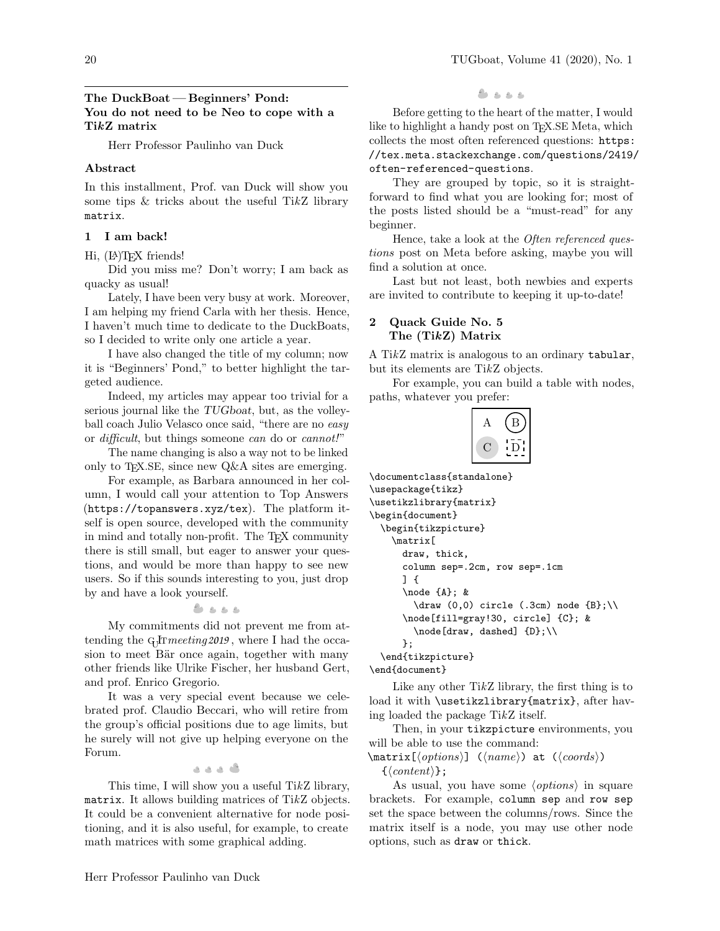# The DuckBoat — Beginners' Pond: You do not need to be Neo to cope with a TikZ matrix

Herr Professor Paulinho van Duck

### Abstract

In this installment, Prof. van Duck will show you some tips  $\&$  tricks about the useful TikZ library matrix.

# 1 I am back!

Hi, (IA)TFX friends!

Did you miss me? Don't worry; I am back as quacky as usual!

Lately, I have been very busy at work. Moreover, I am helping my friend Carla with her thesis. Hence, I haven't much time to dedicate to the DuckBoats, so I decided to write only one article a year.

I have also changed the title of my column; now it is "Beginners' Pond," to better highlight the targeted audience.

Indeed, my articles may appear too trivial for a serious journal like the TUGboat, but, as the volleyball coach Julio Velasco once said, "there are no easy or difficult, but things someone can do or cannot!"

The name changing is also a way not to be linked only to T<sub>E</sub>X.SE, since new  $Q\&A$  sites are emerging.

For example, as Barbara announced in her column, I would call your attention to Top Answers (<https://topanswers.xyz/tex>). The platform itself is open source, developed with the community in mind and totally non-profit. The TFX community there is still small, but eager to answer your questions, and would be more than happy to see new users. So if this sounds interesting to you, just drop by and have a look yourself.

 $2.5.5.5$ 

My commitments did not prevent me from attending the G<sub>U</sub>IT meeting 2019, where I had the occasion to meet Bär once again, together with many other friends like Ulrike Fischer, her husband Gert, and prof. Enrico Gregorio.

It was a very special event because we celebrated prof. Claudio Beccari, who will retire from the group's official positions due to age limits, but he surely will not give up helping everyone on the Forum.

. . . .

This time, I will show you a useful TikZ library, matrix. It allows building matrices of TikZ objects. It could be a convenient alternative for node positioning, and it is also useful, for example, to create math matrices with some graphical adding.

Before getting to the heart of the matter, I would like to highlight a handy post on T<sub>EX</sub>.SE Meta, which collects the most often referenced questions: [https:](https://tex.meta.stackexchange.com/questions/2419/often-referenced-questions) [//tex.meta.stackexchange.com/questions/2419/](https://tex.meta.stackexchange.com/questions/2419/often-referenced-questions) [often-referenced-questions](https://tex.meta.stackexchange.com/questions/2419/often-referenced-questions).

They are grouped by topic, so it is straightforward to find what you are looking for; most of the posts listed should be a "must-read" for any beginner.

Hence, take a look at the Often referenced questions post on Meta before asking, maybe you will find a solution at once.

Last but not least, both newbies and experts are invited to contribute to keeping it up-to-date!

# 2 Quack Guide No. 5 The (TikZ) Matrix

A TikZ matrix is analogous to an ordinary tabular, but its elements are TikZ objects.

For example, you can build a table with nodes, paths, whatever you prefer:

| ا<br>ا<br>г |
|-------------|

```
\documentclass{standalone}
\usepackage{tikz}
\usetikzlibrary{matrix}
\begin{document}
  \begin{tikzpicture}
    \matrix[
      draw, thick,
      column sep=.2cm, row sep=.1cm
      ] {
      \node {A}; &
        \dagger (0,0) circle (.3cm) node {B};\{\}\node[fill=gray!30, circle] {C}; &
        \node[draw, dashed] {D};\\
      };
  \end{tikzpicture}
\end{document}
```
Like any other  $TikZ$  library, the first thing is to load it with \usetikzlibrary{matrix}, after having loaded the package TikZ itself.

Then, in your tikzpicture environments, you will be able to use the command:

 $\mathcal{h}(\overline{\otimes}) \quad (\langle name \rangle)$  at  $(\langle coords \rangle)$  $\{\langle content \rangle\};$ 

As usual, you have some  $\langle options \rangle$  in square brackets. For example, column sep and row sep set the space between the columns/rows. Since the matrix itself is a node, you may use other node options, such as draw or thick.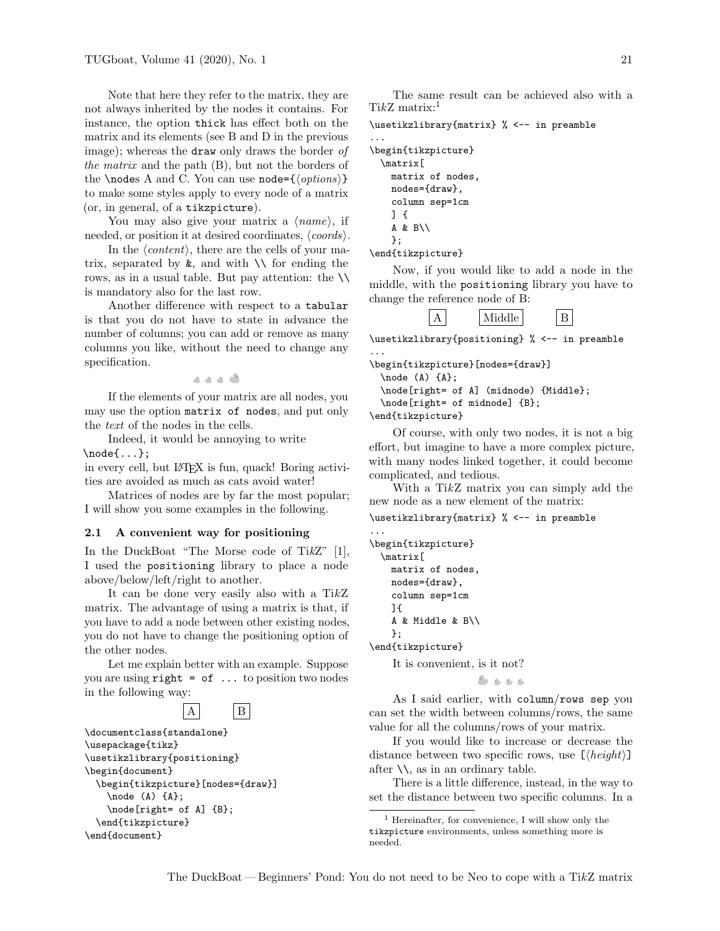Note that here they refer to the matrix, they are not always inherited by the nodes it contains. For instance, the option thick has effect both on the matrix and its elements (see B and D in the previous image); whereas the **draw** only draws the border of the matrix and the path (B), but not the borders of the **\nodes** A and C. You can use node= $\{\langle options \rangle\}$ to make some styles apply to every node of a matrix (or, in general, of a tikzpicture).

You may also give your matrix a  $\langle name \rangle$ , if needed, or position it at desired coordinates,  $\langle \text{coordinates}, \langle \text{coordinates} \rangle \rangle$ .

In the  $\langle content \rangle$ , there are the cells of your matrix, separated by  $\&$ , and with  $\setminus \$  for ending the rows, as in a usual table. But pay attention: the  $\setminus\setminus$ is mandatory also for the last row.

Another difference with respect to a tabular is that you do not have to state in advance the number of columns; you can add or remove as many columns you like, without the need to change any specification.

گ د د د

If the elements of your matrix are all nodes, you may use the option matrix of nodes, and put only the text of the nodes in the cells.

Indeed, it would be annoying to write \node{...};

in every cell, but LAT<sub>EX</sub> is fun, quack! Boring activities are avoided as much as cats avoid water!

Matrices of nodes are by far the most popular; I will show you some examples in the following.

### 2.1 A convenient way for positioning

In the DuckBoat "The Morse code of TikZ" [\[1\]](#page-5-0), I used the positioning library to place a node above/below/left/right to another.

It can be done very easily also with a TikZ matrix. The advantage of using a matrix is that, if you have to add a node between other existing nodes, you do not have to change the positioning option of the other nodes.

Let me explain better with an example. Suppose you are using right =  $of \ldots$  to position two nodes in the following way:



\documentclass{standalone} \usepackage{tikz} \usetikzlibrary{positioning} \begin{document} \begin{tikzpicture}[nodes={draw}]  $\node$  (A)  ${A}$ ; \node[right= of A] {B}; \end{tikzpicture} \end{document}

The same result can be achieved also with a  $TikZ$  matrix:<sup>[1](#page-1-0)</sup>

\usetikzlibrary{matrix} % <-- in preamble

```
...
\begin{tikzpicture}
 \matrix[
   matrix of nodes,
   nodes={draw},
    column sep=1cm
    ] {
    A & B\\
    };
\end{tikzpicture}
```
Now, if you would like to add a node in the middle, with the positioning library you have to change the reference node of B:

| Middle |  |
|--------|--|
|--------|--|

\usetikzlibrary{positioning} % <-- in preamble

```
...
\begin{tikzpicture}[nodes={draw}]
  \node (A) {A};
  \node[right= of A] (midnode) {Middle};
  \node[right= of midnode] {B};
```
\end{tikzpicture}

Of course, with only two nodes, it is not a big effort, but imagine to have a more complex picture, with many nodes linked together, it could become complicated, and tedious.

With a TikZ matrix you can simply add the new node as a new element of the matrix:

```
\usetikzlibrary{matrix} % <-- in preamble
```

```
...
\begin{tikzpicture}
  \matrix[
    matrix of nodes,
    nodes={draw},
    column sep=1cm
    \overline{1}A & Middle & B\\
    };
```
\end{tikzpicture}

It is convenient, is it not?

```
8.888
```
As I said earlier, with column/rows sep you can set the width between columns/rows, the same value for all the columns/rows of your matrix.

If you would like to increase or decrease the distance between two specific rows, use  $[\langle height \rangle]$ after  $\setminus \setminus$ , as in an ordinary table.

There is a little difference, instead, in the way to set the distance between two specific columns. In a

<span id="page-1-0"></span><sup>1</sup> Hereinafter, for convenience, I will show only the tikzpicture environments, unless something more is needed.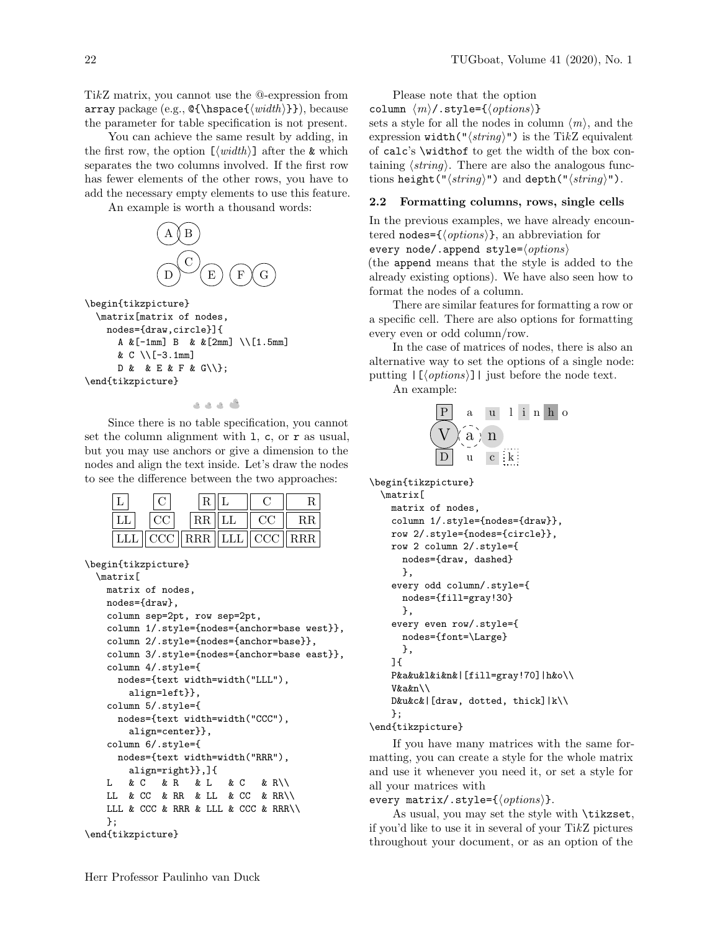TikZ matrix, you cannot use the @-expression from array package (e.g.,  $\Omega_{width}}$ ), because the parameter for table specification is not present.

You can achieve the same result by adding, in the first row, the option  $\left[\langle width \rangle\right]$  after the & which separates the two columns involved. If the first row has fewer elements of the other rows, you have to add the necessary empty elements to use this feature.

An example is worth a thousand words:



گ م م م

Since there is no table specification, you cannot set the column alignment with l, c, or r as usual, but you may use anchors or give a dimension to the nodes and align the text inside. Let's draw the nodes to see the difference between the two approaches:

| CC                                               | RR  LL | - CC: | RR. |
|--------------------------------------------------|--------|-------|-----|
| LLL $\ $ CCC $\ $ RRR $\ $ LLL $\ $ CCC $\ $ RRR |        |       |     |

```
\begin{tikzpicture}
 \matrix[
   matrix of nodes,
   nodes={draw},
   column sep=2pt, row sep=2pt,
   column 1/.style={nodes={anchor=base west}},
   column 2/.style={nodes={anchor=base}},
   column 3/.style={nodes={anchor=base east}},
   column 4/.style={
     nodes={text width=width("LLL"),
       align=left}},
   column 5/.style={
     nodes={text width=width("CCC"),
       align=center}},
   column 6/.style={
     nodes={text width=width("RRR"),
       align=right}},]{
   L & C & R & L & C & R\\
   LL & CC & RR & LL & CC & RR\\
   LLL & CCC & RRR & LLL & CCC & RRR\\
   };
\end{tikzpicture}
```
Please note that the option

column  $\langle m \rangle$ .style={ $\langle options \rangle$ }

sets a style for all the nodes in column  $\langle m \rangle$ , and the expression width(" $\langle string \rangle$ ") is the TikZ equivalent of calc's \widthof to get the width of the box containing  $\langle string \rangle$ . There are also the analogous functions height(" $\langle string \rangle$ ") and depth(" $\langle string \rangle$ ").

## 2.2 Formatting columns, rows, single cells

In the previous examples, we have already encountered nodes= $\{\langle options \rangle\}$ , an abbreviation for every node/.append style= $\langle options \rangle$ 

(the append means that the style is added to the already existing options). We have also seen how to format the nodes of a column.

There are similar features for formatting a row or a specific cell. There are also options for formatting every even or odd column/row.

In the case of matrices of nodes, there is also an alternative way to set the options of a single node: putting  $\lfloor \langle options \rangle \rfloor$  just before the node text.

An example:



```
\begin{tikzpicture}
  \matrix[
    matrix of nodes,
    column 1/.style={nodes={draw}},
    row 2/.style={nodes={circle}},
    row 2 column 2/.style={
     nodes={draw, dashed}
      },
    every odd column/.style={
     nodes={fill=gray!30}
      },
    every even row/.style={
     nodes={font=\Large}
     },
    \overline{1}P&a&u&l&i&n&|[fill=gray!70]|h&o\\
    V&a&n\\
    D&u&c&|[draw, dotted, thick]|k\\
    };
\end{tikzpicture}
```
If you have many matrices with the same formatting, you can create a style for the whole matrix and use it whenever you need it, or set a style for all your matrices with

every matrix/.style= $\{\langle options \rangle\}.$ 

As usual, you may set the style with \tikzset, if you'd like to use it in several of your TikZ pictures throughout your document, or as an option of the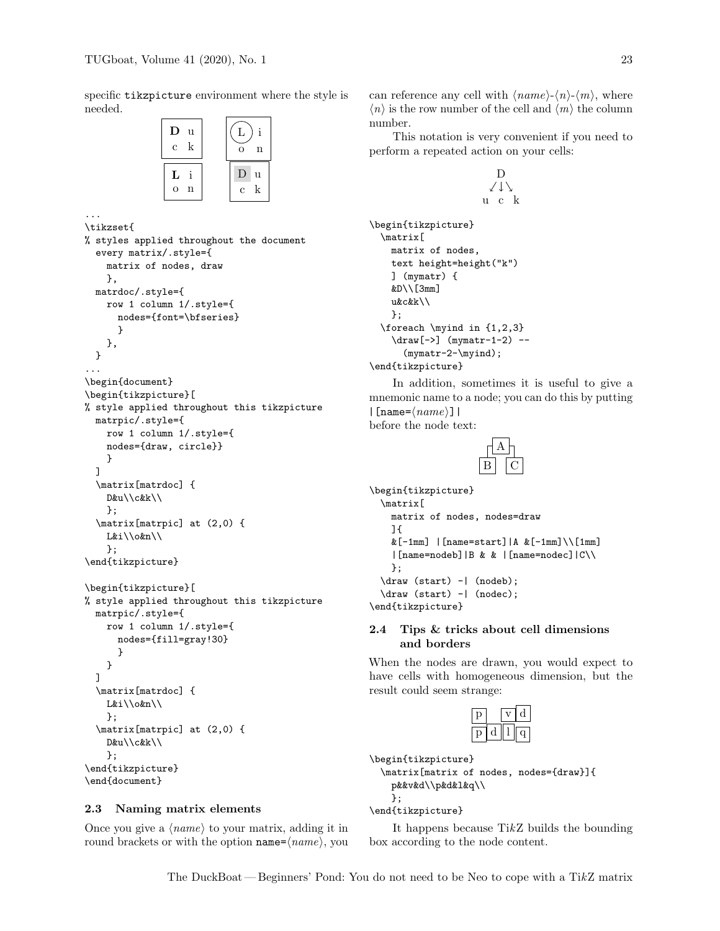specific tikzpicture environment where the style is needed.



```
\tikzset{
```
...

```
% styles applied throughout the document
  every matrix/.style={
   matrix of nodes, draw
    },
 matrdoc/.style={
   row 1 column 1/.style={
      nodes={font=\bfseries}
      }
    },
 }
...
\begin{document}
\begin{tikzpicture}[
% style applied throughout this tikzpicture
 matrpic/.style={
   row 1 column 1/.style={
   nodes={draw, circle}}
    }
  ]
  \matrix[matrdoc] {
   D&u\\c&k\\
    };
  \matrix[matrpic] at (2,0) {
    L&i\\o&n\\
    };
\end{tikzpicture}
```

```
\begin{tikzpicture}[
% style applied throughout this tikzpicture
  matrpic/.style={
    row 1 column 1/.style={
      nodes={fill=gray!30}
      }
    }
  \mathbf{I}\matrix[matrdoc] {
    L&i\\o&n\\
    };
  \matrix[matrpic] at (2,0) {
    D&u\\c&k\\
    };
\end{tikzpicture}
\end{document}
```
# 2.3 Naming matrix elements

Once you give a  $\langle name \rangle$  to your matrix, adding it in round brackets or with the option name= $\langle name \rangle$ , you can reference any cell with  $\langle name \rangle - \langle n \rangle - \langle m \rangle$ , where  $\langle n \rangle$  is the row number of the cell and  $\langle m \rangle$  the column number.

This notation is very convenient if you need to perform a repeated action on your cells:

$$
\begin{array}{c}\nD \\
\swarrow \downarrow \searrow \\
u & c & k\n\end{array}
$$

```
\begin{tikzpicture}
 \matrix[
   matrix of nodes,
   text height=height("k")
   ] (mymatr) {
   &D\\[3mm]
   u&c&k\\
   };
 \foreach \myind in {1,2,3}
   \draw[->] (mymatr-1-2) --
      (mymatr-2-\myind);
\end{tikzpicture}
```
In addition, sometimes it is useful to give a mnemonic name to a node; you can do this by putting | [name= $\langle name \rangle$ ] | before the node text:

```
\begin{tikzpicture}
  \matrix[
    matrix of nodes, nodes=draw
    \exists {
    &[-1mm] | [name=start] | A &[-1mm] \setminus [1mm]|[name=nodeb]|B & & |[name=nodec]|C\\
    };
 \draw (start) -| (nodeb);
  \draw (start) -| (nodec);
\end{tikzpicture}
```
# 2.4 Tips & tricks about cell dimensions and borders

When the nodes are drawn, you would expect to have cells with homogeneous dimension, but the result could seem strange:

```
\begin{tikzpicture}
 \matrix[matrix of nodes, nodes={draw}]{
   p&&v&d\\p&d&l&q\\
   };
\end{tikzpicture}
```
It happens because TikZ builds the bounding box according to the node content.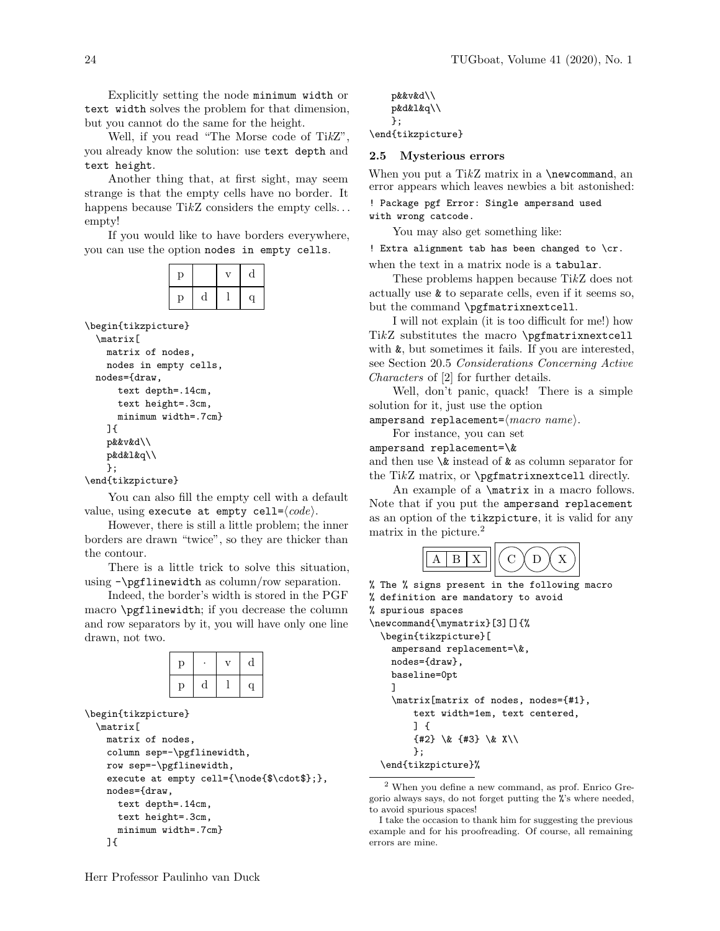Explicitly setting the node minimum width or text width solves the problem for that dimension, but you cannot do the same for the height.

Well, if you read "The Morse code of TikZ", you already know the solution: use text depth and text height.

Another thing that, at first sight, may seem strange is that the empty cells have no border. It happens because TikZ considers the empty cells... empty!

If you would like to have borders everywhere, you can use the option nodes in empty cells.

| u | ∽ | Π |
|---|---|---|

```
\begin{tikzpicture}
  \matrix[
    matrix of nodes,
    nodes in empty cells,
 nodes={draw,
      text depth=.14cm,
      text height=.3cm,
     minimum width=.7cm}
    ]{
   p&&v&d\\
    p&d&l&q\\
    };
```

```
\end{tikzpicture}
```
You can also fill the empty cell with a default value, using execute at empty cell= $\langle code \rangle$ .

However, there is still a little problem; the inner borders are drawn "twice", so they are thicker than the contour.

There is a little trick to solve this situation, using -\pgflinewidth as column/row separation.

Indeed, the border's width is stored in the PGF macro \pgflinewidth; if you decrease the column and row separators by it, you will have only one line drawn, not two.

| D  |   | d |
|----|---|---|
| I) | d | a |

```
\begin{tikzpicture}
 \matrix[
   matrix of nodes,
   column sep=-\pgflinewidth,
   row sep=-\pgflinewidth,
   execute at empty cell={\node{$\cdot$};},
   nodes={draw,
     text depth=.14cm,
     text height=.3cm,
     minimum width=.7cm}
   ]{
```

```
p&&v&d\\
p&d&l&q\\
\mathcal{L}:
```
\end{tikzpicture}

### 2.5 Mysterious errors

When you put a TikZ matrix in a  $\neq$  new command, an error appears which leaves newbies a bit astonished:

! Package pgf Error: Single ampersand used with wrong catcode.

You may also get something like:

! Extra alignment tab has been changed to \cr.

when the text in a matrix node is a tabular.

These problems happen because TikZ does not actually use & to separate cells, even if it seems so, but the command \pgfmatrixnextcell.

I will not explain (it is too difficult for me!) how TikZ substitutes the macro \pgfmatrixnextcell with  $\&$ , but sometimes it fails. If you are interested, see Section 20.5 Considerations Concerning Active Characters of [\[2\]](#page-5-1) for further details.

Well, don't panic, quack! There is a simple solution for it, just use the option

ampersand replacement= $\langle macro\ name\rangle$ .

For instance, you can set

ampersand replacement=\&

and then use  $\&$  instead of  $\&$  as column separator for the TikZ matrix, or \pgfmatrixnextcell directly.

An example of a  $\matrix$ n a macro follows. Note that if you put the ampersand replacement as an option of the tikzpicture, it is valid for any matrix in the picture.<sup>[2](#page-4-0)</sup>

% The % signs present in the following macro % definition are mandatory to avoid

```
% spurious spaces
\newcommand{\mymatrix}[3][]{%
  \begin{tikzpicture}[
   ampersand replacement=\&b,
   nodes={draw},
   baseline=0pt
   ]
   \matrix[matrix of nodes, nodes={#1},
        text width=1em, text centered,
```
] { {#2} \& {#3} \& X\\ };

<span id="page-4-0"></span>\end{tikzpicture}%

<sup>2</sup> When you define a new command, as prof. Enrico Gregorio always says, do not forget putting the %'s where needed, to avoid spurious spaces!

I take the occasion to thank him for suggesting the previous example and for his proofreading. Of course, all remaining errors are mine.